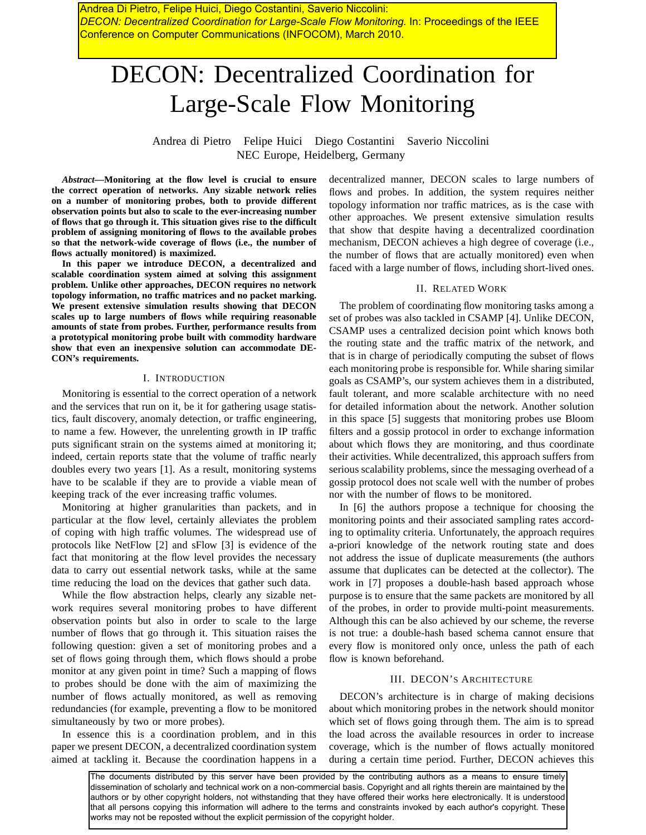Andrea Di Pietro, Felipe Huici, Diego Costantini, Saverio Niccolini: *DECON: Decentralized Coordination for Large-Scale Flow Monitoring.* In: Proceedings of the IEEE Conference on Computer Communications (INFOCOM), March 2010.

# DECON: Decentralized Coordination for Large-Scale Flow Monitoring

Andrea di Pietro Felipe Huici Diego Costantini Saverio Niccolini NEC Europe, Heidelberg, Germany

*Abstract***—Monitoring at the flow level is crucial to ensure the correct operation of networks. Any sizable network relies on a number of monitoring probes, both to provide different observation points but also to scale to the ever-increasing number of flows that go through it. This situation gives rise to the difficult problem of assigning monitoring of flows to the available probes so that the network-wide coverage of flows (i.e., the number of flows actually monitored) is maximized.**

**In this paper we introduce DECON, a decentralized and scalable coordination system aimed at solving this assignment problem. Unlike other approaches, DECON requires no network topology information, no traffic matrices and no packet marking. We present extensive simulation results showing that DECON scales up to large numbers of flows while requiring reasonable amounts of state from probes. Further, performance results from a prototypical monitoring probe built with commodity hardware show that even an inexpensive solution can accommodate DE-CON's requirements.**

## I. INTRODUCTION

Monitoring is essential to the correct operation of a network and the services that run on it, be it for gathering usage statistics, fault discovery, anomaly detection, or traffic engineering, to name a few. However, the unrelenting growth in IP traffic puts significant strain on the systems aimed at monitoring it; indeed, certain reports state that the volume of traffic nearly doubles every two years [1]. As a result, monitoring systems have to be scalable if they are to provide a viable mean of keeping track of the ever increasing traffic volumes.

Monitoring at higher granularities than packets, and in particular at the flow level, certainly alleviates the problem of coping with high traffic volumes. The widespread use of protocols like NetFlow [2] and sFlow [3] is evidence of the fact that monitoring at the flow level provides the necessary data to carry out essential network tasks, while at the same time reducing the load on the devices that gather such data.

While the flow abstraction helps, clearly any sizable network requires several monitoring probes to have different observation points but also in order to scale to the large number of flows that go through it. This situation raises the following question: given a set of monitoring probes and a set of flows going through them, which flows should a probe monitor at any given point in time? Such a mapping of flows to probes should be done with the aim of maximizing the number of flows actually monitored, as well as removing redundancies (for example, preventing a flow to be monitored simultaneously by two or more probes).

In essence this is a coordination problem, and in this paper we present DECON, a decentralized coordination system aimed at tackling it. Because the coordination happens in a decentralized manner, DECON scales to large numbers of flows and probes. In addition, the system requires neither topology information nor traffic matrices, as is the case with other approaches. We present extensive simulation results that show that despite having a decentralized coordination mechanism, DECON achieves a high degree of coverage (i.e., the number of flows that are actually monitored) even when faced with a large number of flows, including short-lived ones.

## II. RELATED WORK

The problem of coordinating flow monitoring tasks among a set of probes was also tackled in CSAMP [4]. Unlike DECON, CSAMP uses a centralized decision point which knows both the routing state and the traffic matrix of the network, and that is in charge of periodically computing the subset of flows each monitoring probe is responsible for. While sharing similar goals as CSAMP's, our system achieves them in a distributed, fault tolerant, and more scalable architecture with no need for detailed information about the network. Another solution in this space [5] suggests that monitoring probes use Bloom filters and a gossip protocol in order to exchange information about which flows they are monitoring, and thus coordinate their activities. While decentralized, this approach suffers from serious scalability problems, since the messaging overhead of a gossip protocol does not scale well with the number of probes nor with the number of flows to be monitored.

In [6] the authors propose a technique for choosing the monitoring points and their associated sampling rates according to optimality criteria. Unfortunately, the approach requires a-priori knowledge of the network routing state and does not address the issue of duplicate measurements (the authors assume that duplicates can be detected at the collector). The work in [7] proposes a double-hash based approach whose purpose is to ensure that the same packets are monitored by all of the probes, in order to provide multi-point measurements. Although this can be also achieved by our scheme, the reverse is not true: a double-hash based schema cannot ensure that every flow is monitored only once, unless the path of each flow is known beforehand.

## III. DECON'S ARCHITECTURE

DECON's architecture is in charge of making decisions about which monitoring probes in the network should monitor which set of flows going through them. The aim is to spread the load across the available resources in order to increase coverage, which is the number of flows actually monitored during a certain time period. Further, DECON achieves this

The documents distributed by this server have been provided by the contributing authors as a means to ensure timely dissemination of scholarly and technical work on a non-commercial basis. Copyright and all rights therein are maintained by the authors or by other copyright holders, not withstanding that they have offered their works here electronically. It is understood that all persons copying this information will adhere to the terms and constraints invoked by each author's copyright. These works may not be reposted without the explicit permission of the copyright holder.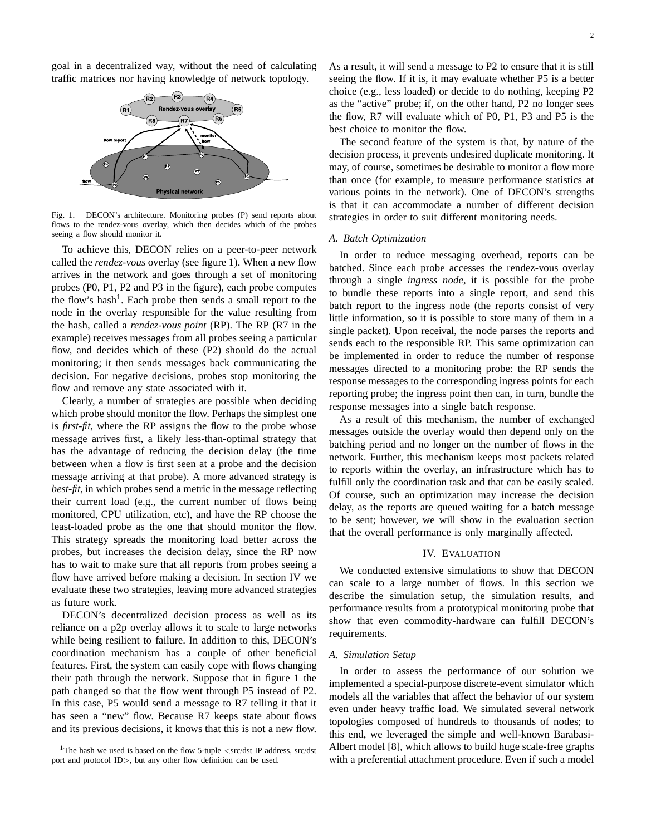goal in a decentralized way, without the need of calculating traffic matrices nor having knowledge of network topology.



Fig. 1. DECON's architecture. Monitoring probes (P) send reports about flows to the rendez-vous overlay, which then decides which of the probes seeing a flow should monitor it.

To achieve this, DECON relies on a peer-to-peer network called the *rendez-vous* overlay (see figure 1). When a new flow arrives in the network and goes through a set of monitoring probes (P0, P1, P2 and P3 in the figure), each probe computes the flow's hash<sup>1</sup>. Each probe then sends a small report to the node in the overlay responsible for the value resulting from the hash, called a *rendez-vous point* (RP). The RP (R7 in the example) receives messages from all probes seeing a particular flow, and decides which of these (P2) should do the actual monitoring; it then sends messages back communicating the decision. For negative decisions, probes stop monitoring the flow and remove any state associated with it.

Clearly, a number of strategies are possible when deciding which probe should monitor the flow. Perhaps the simplest one is *first-fit*, where the RP assigns the flow to the probe whose message arrives first, a likely less-than-optimal strategy that has the advantage of reducing the decision delay (the time between when a flow is first seen at a probe and the decision message arriving at that probe). A more advanced strategy is *best-fit*, in which probes send a metric in the message reflecting their current load (e.g., the current number of flows being monitored, CPU utilization, etc), and have the RP choose the least-loaded probe as the one that should monitor the flow. This strategy spreads the monitoring load better across the probes, but increases the decision delay, since the RP now has to wait to make sure that all reports from probes seeing a flow have arrived before making a decision. In section IV we evaluate these two strategies, leaving more advanced strategies as future work.

DECON's decentralized decision process as well as its reliance on a p2p overlay allows it to scale to large networks while being resilient to failure. In addition to this, DECON's coordination mechanism has a couple of other beneficial features. First, the system can easily cope with flows changing their path through the network. Suppose that in figure 1 the path changed so that the flow went through P5 instead of P2. In this case, P5 would send a message to R7 telling it that it has seen a "new" flow. Because R7 keeps state about flows and its previous decisions, it knows that this is not a new flow. As a result, it will send a message to P2 to ensure that it is still seeing the flow. If it is, it may evaluate whether P5 is a better choice (e.g., less loaded) or decide to do nothing, keeping P2 as the "active" probe; if, on the other hand, P2 no longer sees the flow, R7 will evaluate which of P0, P1, P3 and P5 is the best choice to monitor the flow.

The second feature of the system is that, by nature of the decision process, it prevents undesired duplicate monitoring. It may, of course, sometimes be desirable to monitor a flow more than once (for example, to measure performance statistics at various points in the network). One of DECON's strengths is that it can accommodate a number of different decision strategies in order to suit different monitoring needs.

## *A. Batch Optimization*

In order to reduce messaging overhead, reports can be batched. Since each probe accesses the rendez-vous overlay through a single *ingress node*, it is possible for the probe to bundle these reports into a single report, and send this batch report to the ingress node (the reports consist of very little information, so it is possible to store many of them in a single packet). Upon receival, the node parses the reports and sends each to the responsible RP. This same optimization can be implemented in order to reduce the number of response messages directed to a monitoring probe: the RP sends the response messages to the corresponding ingress points for each reporting probe; the ingress point then can, in turn, bundle the response messages into a single batch response.

As a result of this mechanism, the number of exchanged messages outside the overlay would then depend only on the batching period and no longer on the number of flows in the network. Further, this mechanism keeps most packets related to reports within the overlay, an infrastructure which has to fulfill only the coordination task and that can be easily scaled. Of course, such an optimization may increase the decision delay, as the reports are queued waiting for a batch message to be sent; however, we will show in the evaluation section that the overall performance is only marginally affected.

## IV. EVALUATION

We conducted extensive simulations to show that DECON can scale to a large number of flows. In this section we describe the simulation setup, the simulation results, and performance results from a prototypical monitoring probe that show that even commodity-hardware can fulfill DECON's requirements.

## *A. Simulation Setup*

In order to assess the performance of our solution we implemented a special-purpose discrete-event simulator which models all the variables that affect the behavior of our system even under heavy traffic load. We simulated several network topologies composed of hundreds to thousands of nodes; to this end, we leveraged the simple and well-known Barabasi-Albert model [8], which allows to build huge scale-free graphs with a preferential attachment procedure. Even if such a model

<sup>&</sup>lt;sup>1</sup>The hash we used is based on the flow 5-tuple  $\langle$ src/dst IP address, src/dst port and protocol ID>, but any other flow definition can be used.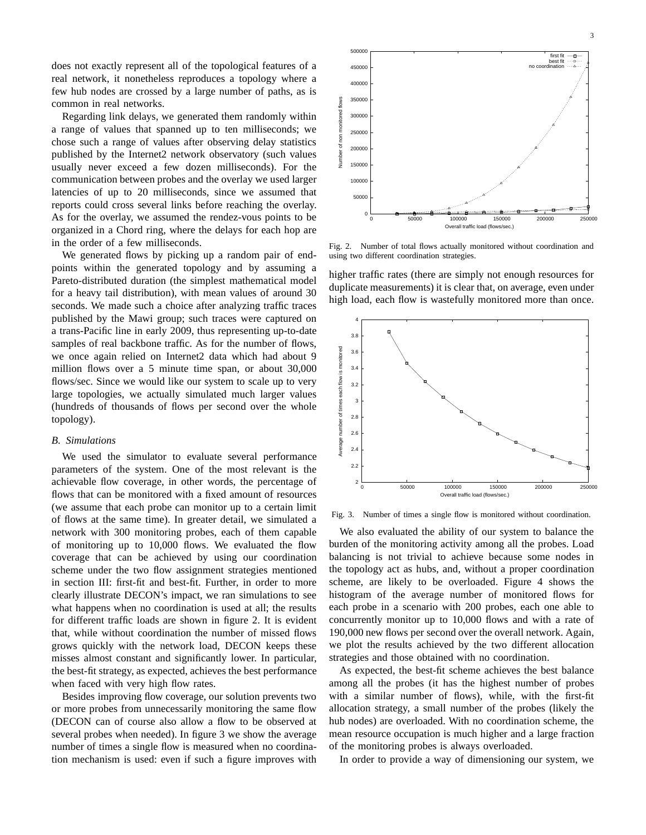does not exactly represent all of the topological features of a real network, it nonetheless reproduces a topology where a few hub nodes are crossed by a large number of paths, as is common in real networks.

Regarding link delays, we generated them randomly within a range of values that spanned up to ten milliseconds; we chose such a range of values after observing delay statistics published by the Internet2 network observatory (such values usually never exceed a few dozen milliseconds). For the communication between probes and the overlay we used larger latencies of up to 20 milliseconds, since we assumed that reports could cross several links before reaching the overlay. As for the overlay, we assumed the rendez-vous points to be organized in a Chord ring, where the delays for each hop are in the order of a few milliseconds.

We generated flows by picking up a random pair of endpoints within the generated topology and by assuming a Pareto-distributed duration (the simplest mathematical model for a heavy tail distribution), with mean values of around 30 seconds. We made such a choice after analyzing traffic traces published by the Mawi group; such traces were captured on a trans-Pacific line in early 2009, thus representing up-to-date samples of real backbone traffic. As for the number of flows, we once again relied on Internet2 data which had about 9 million flows over a 5 minute time span, or about 30,000 flows/sec. Since we would like our system to scale up to very large topologies, we actually simulated much larger values (hundreds of thousands of flows per second over the whole topology).

## *B. Simulations*

We used the simulator to evaluate several performance parameters of the system. One of the most relevant is the achievable flow coverage, in other words, the percentage of flows that can be monitored with a fixed amount of resources (we assume that each probe can monitor up to a certain limit of flows at the same time). In greater detail, we simulated a network with 300 monitoring probes, each of them capable of monitoring up to 10,000 flows. We evaluated the flow coverage that can be achieved by using our coordination scheme under the two flow assignment strategies mentioned in section III: first-fit and best-fit. Further, in order to more clearly illustrate DECON's impact, we ran simulations to see what happens when no coordination is used at all; the results for different traffic loads are shown in figure 2. It is evident that, while without coordination the number of missed flows grows quickly with the network load, DECON keeps these misses almost constant and significantly lower. In particular, the best-fit strategy, as expected, achieves the best performance when faced with very high flow rates.

Besides improving flow coverage, our solution prevents two or more probes from unnecessarily monitoring the same flow (DECON can of course also allow a flow to be observed at several probes when needed). In figure 3 we show the average number of times a single flow is measured when no coordination mechanism is used: even if such a figure improves with



Fig. 2. Number of total flows actually monitored without coordination and using two different coordination strategies.

higher traffic rates (there are simply not enough resources for duplicate measurements) it is clear that, on average, even under high load, each flow is wastefully monitored more than once.



Fig. 3. Number of times a single flow is monitored without coordination.

We also evaluated the ability of our system to balance the burden of the monitoring activity among all the probes. Load balancing is not trivial to achieve because some nodes in the topology act as hubs, and, without a proper coordination scheme, are likely to be overloaded. Figure 4 shows the histogram of the average number of monitored flows for each probe in a scenario with 200 probes, each one able to concurrently monitor up to 10,000 flows and with a rate of 190,000 new flows per second over the overall network. Again, we plot the results achieved by the two different allocation strategies and those obtained with no coordination.

As expected, the best-fit scheme achieves the best balance among all the probes (it has the highest number of probes with a similar number of flows), while, with the first-fit allocation strategy, a small number of the probes (likely the hub nodes) are overloaded. With no coordination scheme, the mean resource occupation is much higher and a large fraction of the monitoring probes is always overloaded.

In order to provide a way of dimensioning our system, we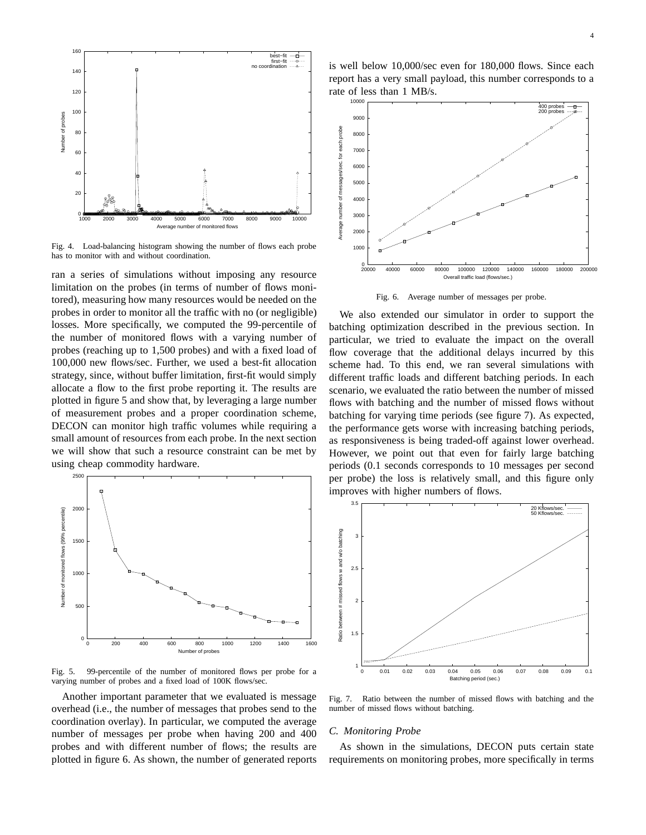

Fig. 4. Load-balancing histogram showing the number of flows each probe has to monitor with and without coordination.

ran a series of simulations without imposing any resource limitation on the probes (in terms of number of flows monitored), measuring how many resources would be needed on the probes in order to monitor all the traffic with no (or negligible) losses. More specifically, we computed the 99-percentile of the number of monitored flows with a varying number of probes (reaching up to 1,500 probes) and with a fixed load of 100,000 new flows/sec. Further, we used a best-fit allocation strategy, since, without buffer limitation, first-fit would simply allocate a flow to the first probe reporting it. The results are plotted in figure 5 and show that, by leveraging a large number of measurement probes and a proper coordination scheme, DECON can monitor high traffic volumes while requiring a small amount of resources from each probe. In the next section we will show that such a resource constraint can be met by using cheap commodity hardware.



Fig. 5. 99-percentile of the number of monitored flows per probe for a varying number of probes and a fixed load of 100K flows/sec.

Another important parameter that we evaluated is message overhead (i.e., the number of messages that probes send to the coordination overlay). In particular, we computed the average number of messages per probe when having 200 and 400 probes and with different number of flows; the results are plotted in figure 6. As shown, the number of generated reports

is well below 10,000/sec even for 180,000 flows. Since each report has a very small payload, this number corresponds to a rate of less than 1 MB/s.



Fig. 6. Average number of messages per probe.

We also extended our simulator in order to support the batching optimization described in the previous section. In particular, we tried to evaluate the impact on the overall flow coverage that the additional delays incurred by this scheme had. To this end, we ran several simulations with different traffic loads and different batching periods. In each scenario, we evaluated the ratio between the number of missed flows with batching and the number of missed flows without batching for varying time periods (see figure 7). As expected, the performance gets worse with increasing batching periods, as responsiveness is being traded-off against lower overhead. However, we point out that even for fairly large batching periods (0.1 seconds corresponds to 10 messages per second per probe) the loss is relatively small, and this figure only improves with higher numbers of flows.



Fig. 7. Ratio between the number of missed flows with batching and the number of missed flows without batching.

### *C. Monitoring Probe*

As shown in the simulations, DECON puts certain state requirements on monitoring probes, more specifically in terms